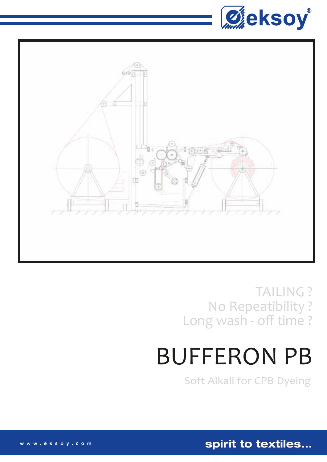



**TAILING?** No Repeatibility? Long wash - off time?

# **BUFFERON PB**

**Soft Alkali for CPB Dyeing** 

spirit to textiles...

www.eksoy.com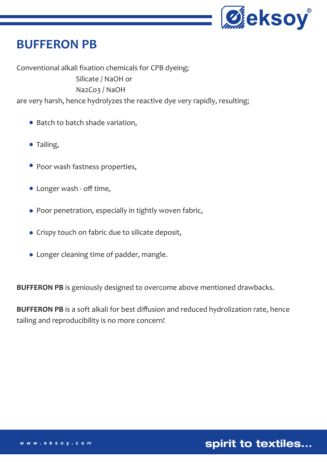

## **BUFFERON PB**

Conventional alkali fixation chemicals for CPB dyeing; Silicate / NaOH or Na2Co3 / NaOH

are very harsh, hence hydrolyzes the reactive dye very rapidly, resulting;

- Batch to batch shade variation,
- Tailing,
- Poor wash fastness properties,
- Longer wash off time,
- Poor penetration, especially in tightly woven fabric,
- Crispy touch on fabric due to silicate deposit,
- Longer cleaning time of padder, mangle.

**BUFFERON PB** is geniously designed to overcome above mentioned drawbacks.

**BUFFERON PB** is a soft alkali for best diffusion and reduced hydrolization rate, hence tailing and reproducibility is no more concern!

spirit to textiles...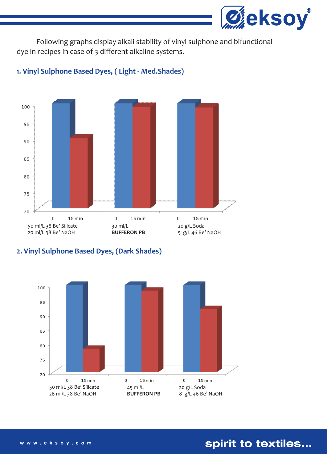

 Following graphs display alkali stability of vinyl sulphone and bifunctional dye in recipes in case of 3 different alkaline systems.



#### **1. Vinyl Sulphone Based Dyes, ( Light - Med.Shades)**

#### **2. Vinyl Sulphone Based Dyes, (Dark Shades)**



spirit to textiles...